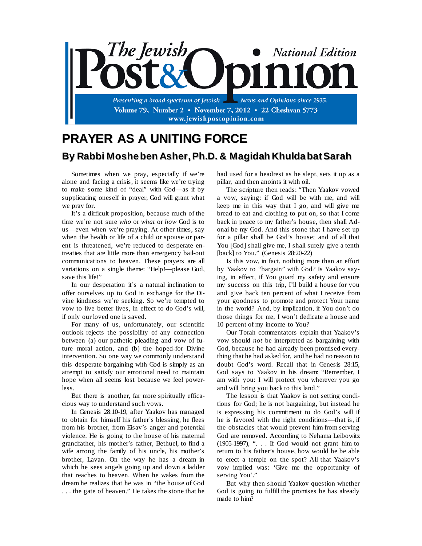

## **PRAYER AS A UNITING FORCE By Rabbi Mosheben Asher,Ph.D. & Magidah KhuldabatSarah**

Sometimes when we pray, especially if we're alone and facing a crisis, it seems like we're trying to make some kind of "deal" with God—as if by supplicating oneself in prayer, God will grant what we pray for.

It's a difficult proposition, because much of the time we're not sure *who* or *what* or *how* God is to us—even when we're praying. At other times, say when the health or life of a child or spouse or parent is threatened, we're reduced to desperate entreaties that are little more than emergency bail-out communications to heaven. These prayers are all variations on a single theme: "Help!—please God, save this life!"

In our desperation it's a natural inclination to offer ourselves up to God in exchange for the Divine kindness we're seeking. So we're tempted to vow to live better lives, in effect to do God's will, if only our loved one is saved.

For many of us, unfortunately, our scientific outlook rejects the possibility of any connection between (a) our pathetic pleading and vow of future moral action, and (b) the hoped-for Divine intervention. So one way we commonly understand this desperate bargaining with God is simply as an attempt to satisfy our emotional need to maintain hope when all seems lost because we feel powerless.

But there is another, far more spiritually efficacious way to understand such vows.

In Genesis 28:10-19, after Yaakov has managed to obtain for himself his father's blessing, he flees from his brother, from Eisav's anger and potential violence. He is going to the house of his maternal grandfather, his mother's father, Bethuel, to find a wife among the family of his uncle, his mother's brother, Lavan. On the way he has a dream in which he sees angels going up and down a ladder that reaches to heaven. When he wakes from the dream he realizes that he was in "the house of God . . . the gate of heaven." He takes the stone that he had used for a headrest as he slept, sets it up as a pillar, and then anoints it with oil.

The scripture then reads: "Then Yaakov vowed a vow, saying: if God will be with me, and will keep me in this way that I go, and will give me bread to eat and clothing to put on, so that I come back in peace to my father's house, then shall Adonai be my God. And this stone that I have set up for a pillar shall be God's house; and of all that You [God] shall give me, I shall surely give a tenth [back] to You." (Genesis 28:20-22)

Is this vow, in fact, nothing more than an effort by Yaakov to "bargain" with God? Is Yaakov saying, in effect, if You guard my safety and ensure my success on this trip, I'll build a house for you and give back ten percent of what I receive from your goodness to promote and protect Your name in the world? And, by implication, if You don't do those things for me, I won't dedicate a house and 10 percent of my income to You?

Our Torah commentators explain that Yaakov's vow should *not* be interpreted as bargaining with God, because he had already been promised everything that he had asked for, and he had no reason to doubt God's word. Recall that in Genesis 28:15, God says to Yaakov in his dream: "Remember, I am with you: I will protect you wherever you go and will bring you back to this land."

The lesson is that Yaakov is not setting conditions for God; he is not bargaining, but instead he is expressing his commitment to do God's will if he is favored with the right conditions—that is, if the obstacles that would prevent him from serving God are removed. According to Nehama Leibowitz (1905-1997), ". . . If God would not grant him to return to his father's house, how would he be able to erect a temple on the spot? All that Yaakov's vow implied was: 'Give me the opportunity of serving You'."

But why then should Yaakov question whether God is going to fulfill the promises he has already made to him?